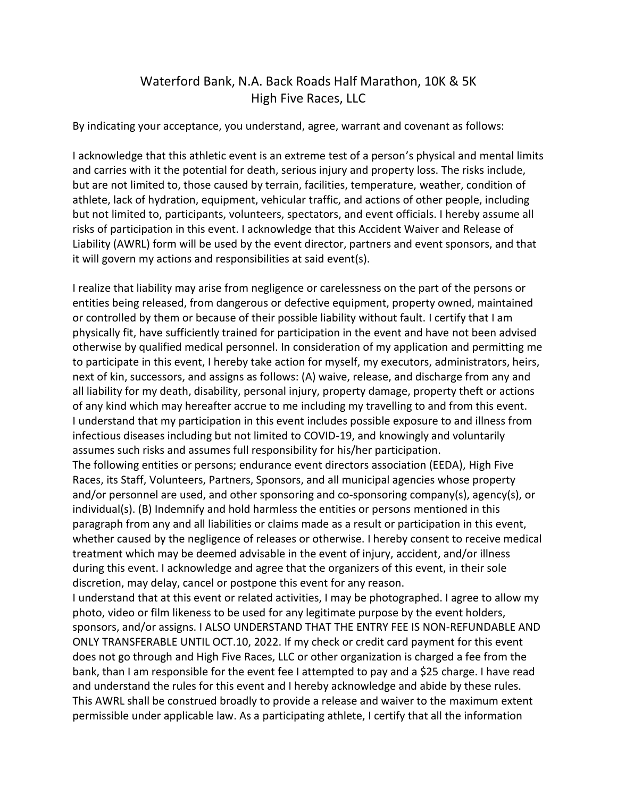## Waterford Bank, N.A. Back Roads Half Marathon, 10K & 5K High Five Races, LLC

By indicating your acceptance, you understand, agree, warrant and covenant as follows:

I acknowledge that this athletic event is an extreme test of a person's physical and mental limits and carries with it the potential for death, serious injury and property loss. The risks include, but are not limited to, those caused by terrain, facilities, temperature, weather, condition of athlete, lack of hydration, equipment, vehicular traffic, and actions of other people, including but not limited to, participants, volunteers, spectators, and event officials. I hereby assume all risks of participation in this event. I acknowledge that this Accident Waiver and Release of Liability (AWRL) form will be used by the event director, partners and event sponsors, and that it will govern my actions and responsibilities at said event(s).

I realize that liability may arise from negligence or carelessness on the part of the persons or entities being released, from dangerous or defective equipment, property owned, maintained or controlled by them or because of their possible liability without fault. I certify that I am physically fit, have sufficiently trained for participation in the event and have not been advised otherwise by qualified medical personnel. In consideration of my application and permitting me to participate in this event, I hereby take action for myself, my executors, administrators, heirs, next of kin, successors, and assigns as follows: (A) waive, release, and discharge from any and all liability for my death, disability, personal injury, property damage, property theft or actions of any kind which may hereafter accrue to me including my travelling to and from this event. I understand that my participation in this event includes possible exposure to and illness from infectious diseases including but not limited to COVID-19, and knowingly and voluntarily assumes such risks and assumes full responsibility for his/her participation.

The following entities or persons; endurance event directors association (EEDA), High Five Races, its Staff, Volunteers, Partners, Sponsors, and all municipal agencies whose property and/or personnel are used, and other sponsoring and co-sponsoring company(s), agency(s), or individual(s). (B) Indemnify and hold harmless the entities or persons mentioned in this paragraph from any and all liabilities or claims made as a result or participation in this event, whether caused by the negligence of releases or otherwise. I hereby consent to receive medical treatment which may be deemed advisable in the event of injury, accident, and/or illness during this event. I acknowledge and agree that the organizers of this event, in their sole discretion, may delay, cancel or postpone this event for any reason.

I understand that at this event or related activities, I may be photographed. I agree to allow my photo, video or film likeness to be used for any legitimate purpose by the event holders, sponsors, and/or assigns. I ALSO UNDERSTAND THAT THE ENTRY FEE IS NON-REFUNDABLE AND ONLY TRANSFERABLE UNTIL OCT.10, 2022. If my check or credit card payment for this event does not go through and High Five Races, LLC or other organization is charged a fee from the bank, than I am responsible for the event fee I attempted to pay and a \$25 charge. I have read and understand the rules for this event and I hereby acknowledge and abide by these rules. This AWRL shall be construed broadly to provide a release and waiver to the maximum extent permissible under applicable law. As a participating athlete, I certify that all the information